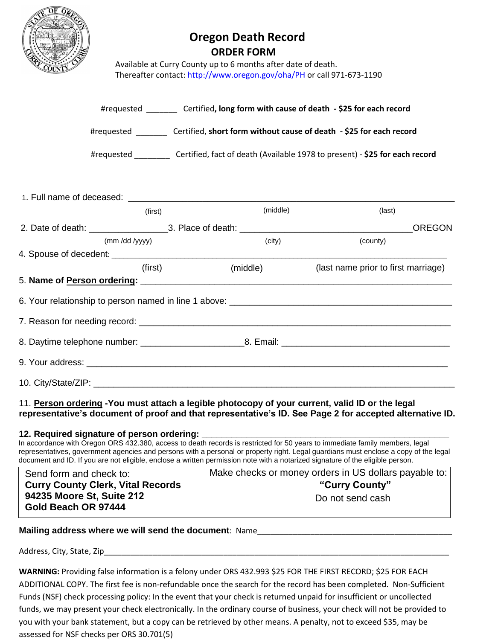

# **Oregon Death Record ORDER FORM**

Available at Curry County up to 6 months after date of death. Thereafter contact:<http://www.oregon.gov/oha/PH> or call 971-673-1190

| #requested | Certified, long form with cause of death - \$25 for each record             |
|------------|-----------------------------------------------------------------------------|
| #requested | Certified, short form without cause of death - \$25 for each record         |
| #requested | Certified, fact of death (Available 1978 to present) - \$25 for each record |

| 1. Full name of deceased: The contract of the contract of the contract of the contract of the contract of the contract of the contract of the contract of the contract of the contract of the contract of the contract of the |                |          |                                                                                  |
|-------------------------------------------------------------------------------------------------------------------------------------------------------------------------------------------------------------------------------|----------------|----------|----------------------------------------------------------------------------------|
|                                                                                                                                                                                                                               | (first)        | (middle) | (last)                                                                           |
|                                                                                                                                                                                                                               |                |          | <b>OREGON</b>                                                                    |
|                                                                                                                                                                                                                               | (mm /dd /yyyy) | (city)   | (county)                                                                         |
|                                                                                                                                                                                                                               |                |          |                                                                                  |
|                                                                                                                                                                                                                               | (first)        | (middle) | (last name prior to first marriage)                                              |
|                                                                                                                                                                                                                               |                |          |                                                                                  |
|                                                                                                                                                                                                                               |                |          | 6. Your relationship to person named in line 1 above: __________________________ |
|                                                                                                                                                                                                                               |                |          |                                                                                  |
|                                                                                                                                                                                                                               |                |          |                                                                                  |
|                                                                                                                                                                                                                               |                |          |                                                                                  |
| 10. City/State/ZIP:                                                                                                                                                                                                           |                |          |                                                                                  |

### 11. **Person ordering -You must attach a legible photocopy of your current, valid ID or the legal representative's document of proof and that representative's ID. See Page 2 for accepted alternative ID.**

#### **12. Required signature of person ordering: \_\_\_\_\_\_\_\_\_\_\_\_\_\_\_\_\_\_\_\_\_\_\_\_\_\_\_\_\_\_\_\_\_\_\_\_\_\_\_\_\_\_\_\_\_\_\_\_\_\_**

In accordance with Oregon ORS 432.380, access to death records is restricted for 50 years to immediate family members, legal representatives, government agencies and persons with a personal or property right. Legal guardians must enclose a copy of the legal document and ID. If you are not eligible, enclose a written permission note with a notarized signature of the eligible person.

| Send form and check to:                          | Make checks or money orders in US dollars payable to: |  |
|--------------------------------------------------|-------------------------------------------------------|--|
| <b>Curry County Clerk, Vital Records</b>         | "Curry County"                                        |  |
| 94235 Moore St, Suite 212<br>Gold Beach OR 97444 | Do not send cash                                      |  |

### **Mailing address where we will send the document**: Name\_\_\_\_\_\_\_\_\_\_\_\_\_\_\_\_\_\_\_\_\_\_\_\_\_\_\_\_\_\_\_\_\_\_\_\_\_\_\_\_\_\_\_\_

Address, City, State, Zip

**WARNING:** Providing false information is a felony under ORS 432.993 \$25 FOR THE FIRST RECORD; \$25 FOR EACH ADDITIONAL COPY. The first fee is non-refundable once the search for the record has been completed. Non-Sufficient Funds (NSF) check processing policy: In the event that your check is returned unpaid for insufficient or uncollected funds, we may present your check electronically. In the ordinary course of business, your check will not be provided to you with your bank statement, but a copy can be retrieved by other means. A penalty, not to exceed \$35, may be assessed for NSF checks per ORS 30.701(5)